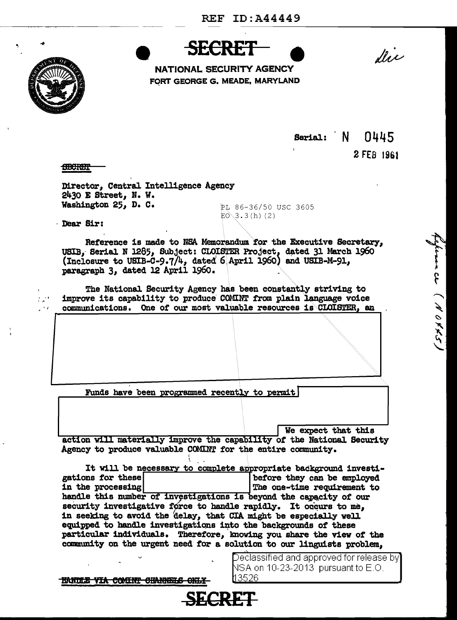



NATIONAL SECURITY AGENCY FORT GEORGE G. MEADE, MARYLAND

Serial:  $N$   $0445$ 

2 FEB 1961

finance (NOVX5)

**STOCKET** 

Director, Central Intelligence Agency 2430 E Street, N. W. Washington 25, D. C.

PI 86-36/50 USC 3605  $E0^{3}3.3(h)(2)$ 

Dear Sir:

 $\mathbb{Z}_p^{(1)}$ 

 $\sim$   $\prime$ 

Reference is made to NSA Memorandum for the Executive Secretary. USIB, Serial N 1285, Subject: CLOISTER Project, dated 31 March 1960 (Inclosure to USIB-C-9.7/4, dated 6 April 1960) and USIB-M-91, paragraph 3. dated 12 April 1960.

The National Security Agency has been constantly striving to improve its capability to produce COMINT from plain language voice communications. One of our most valuable resources is CLOISTER, an

Funds have been programmed recently to permit

We expect that this action will materially improve the capability of the National Security Agency to produce valuable COMINT for the entire community.

It will be necessary to complete appropriate background investigations for these before they can be employed in the processing The one-time requirement to handle this number of investigations is beyond the capacity of our security investigative force to handle rapidly. It occurs to me. in seeking to avoid the delay, that CIA might be especially well equipped to handle investigations into the backgrounds of these particular individuals. Therefore, knowing you share the view of the community on the urgent need for a solution to our linguists problem,

SECRET

NSA on 10-23-2013 pursuant to E.O. l13526.

Declassified and approved for release by

HANDLE VIA COMINT CHANNELS ONLY-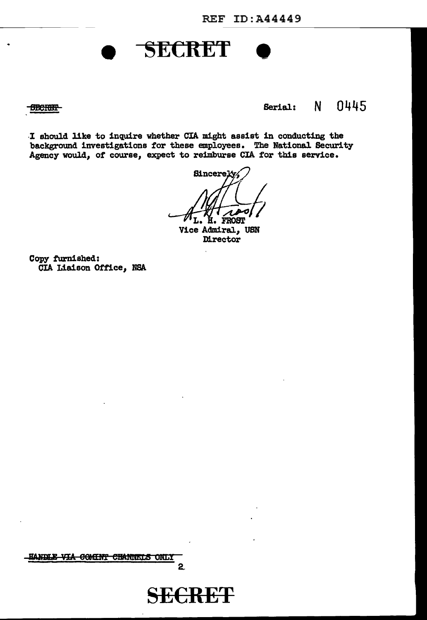## **SECRET**

**SECRET-**

## Serial: N 0445

I should like to inquire whether CIA might assist in conducting the background investigations for these employees. The National Security Agency would, of course, expect to reimburse CIA for this service.

**Sincerely FROST** 

Vice Admiral, USN Director

Copy furnished: CIA Liaison Office, NSA



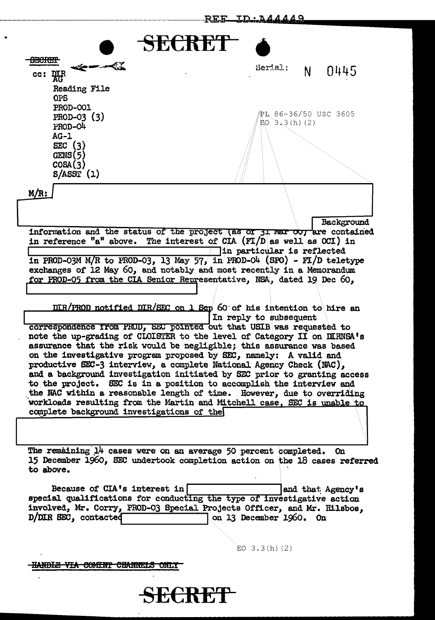